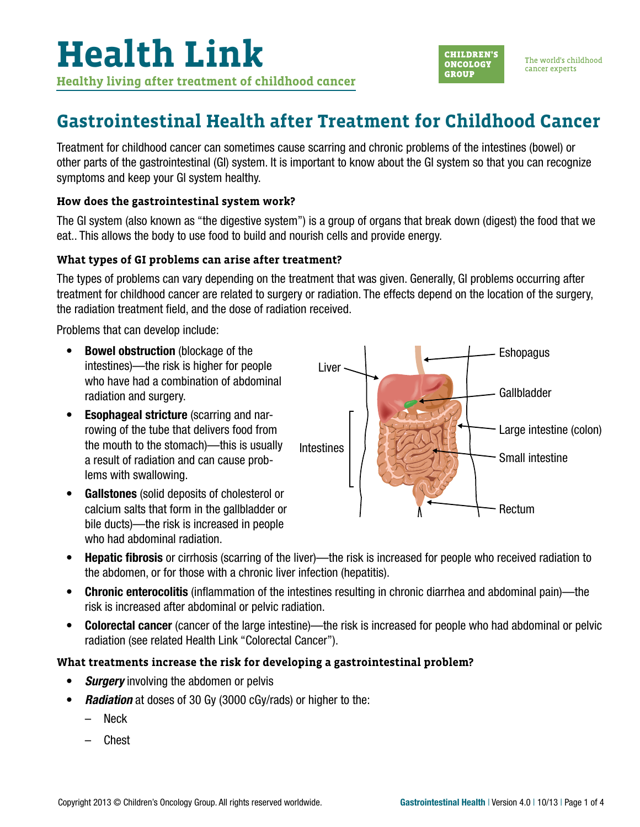

### **Gastrointestinal Health after Treatment for Childhood Cancer**

Treatment for childhood cancer can sometimes cause scarring and chronic problems of the intestines (bowel) or other parts of the gastrointestinal (GI) system. It is important to know about the GI system so that you can recognize symptoms and keep your GI system healthy.

#### **How does the gastrointestinal system work?**

The GI system (also known as "the digestive system") is a group of organs that break down (digest) the food that we eat.. This allows the body to use food to build and nourish cells and provide energy.

#### **What types of GI problems can arise after treatment?**

The types of problems can vary depending on the treatment that was given. Generally, GI problems occurring after treatment for childhood cancer are related to surgery or radiation. The effects depend on the location of the surgery, the radiation treatment field, and the dose of radiation received.

Problems that can develop include:

- Bowel obstruction (blockage of the intestines)—the risk is higher for people who have had a combination of abdominal radiation and surgery.
- Esophageal stricture (scarring and narrowing of the tube that delivers food from the mouth to the stomach)—this is usually a result of radiation and can cause problems with swallowing.
- Gallstones (solid deposits of cholesterol or calcium salts that form in the gallbladder or bile ducts)—the risk is increased in people who had abdominal radiation.



- Hepatic fibrosis or cirrhosis (scarring of the liver)—the risk is increased for people who received radiation to the abdomen, or for those with a chronic liver infection (hepatitis).
- Chronic enterocolitis (inflammation of the intestines resulting in chronic diarrhea and abdominal pain)—the risk is increased after abdominal or pelvic radiation.
- Colorectal cancer (cancer of the large intestine)—the risk is increased for people who had abdominal or pelvic radiation (see related Health Link "Colorectal Cancer").

#### **What treatments increase the risk for developing a gastrointestinal problem?**

- *Surgery* involving the abdomen or pelvis
- *Radiation* at doses of 30 Gy (3000 cGy/rads) or higher to the:
	- Neck
	- Chest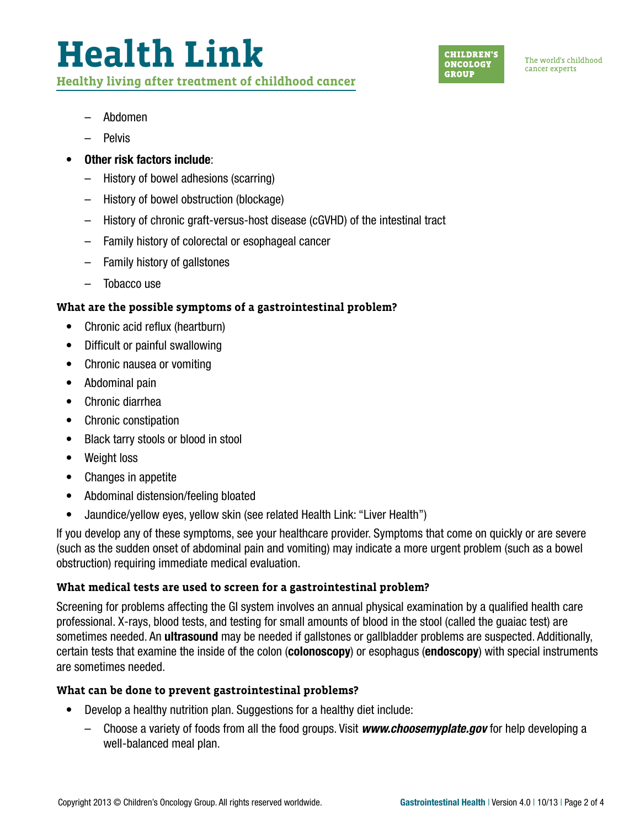# **Health Link Healthy living after treatment of childhood cancer**

**CHILDREN'S ONCOLOGY GROUP** 

The world's childhood cancer experts

- Abdomen
- Pelvis
- Other risk factors include:
	- History of bowel adhesions (scarring)
	- History of bowel obstruction (blockage)
	- History of chronic graft-versus-host disease (cGVHD) of the intestinal tract
	- Family history of colorectal or esophageal cancer
	- Family history of gallstones
	- Tobacco use

### **What are the possible symptoms of a gastrointestinal problem?**

- Chronic acid reflux (heartburn)
- Difficult or painful swallowing
- Chronic nausea or vomiting
- Abdominal pain
- Chronic diarrhea
- Chronic constipation
- Black tarry stools or blood in stool
- Weight loss
- Changes in appetite
- Abdominal distension/feeling bloated
- Jaundice/yellow eyes, yellow skin (see related Health Link: "Liver Health")

If you develop any of these symptoms, see your healthcare provider. Symptoms that come on quickly or are severe (such as the sudden onset of abdominal pain and vomiting) may indicate a more urgent problem (such as a bowel obstruction) requiring immediate medical evaluation.

#### **What medical tests are used to screen for a gastrointestinal problem?**

Screening for problems affecting the GI system involves an annual physical examination by a qualified health care professional. X-rays, blood tests, and testing for small amounts of blood in the stool (called the guaiac test) are sometimes needed. An **ultrasound** may be needed if gallstones or gallbladder problems are suspected. Additionally, certain tests that examine the inside of the colon (colonoscopy) or esophagus (endoscopy) with special instruments are sometimes needed.

#### **What can be done to prevent gastrointestinal problems?**

- Develop a healthy nutrition plan. Suggestions for a healthy diet include:
	- Choose a variety of foods from all the food groups. Visit *[www.choosemyplate.gov](http://www.choosemyplate.gov)* for help developing a well-balanced meal plan.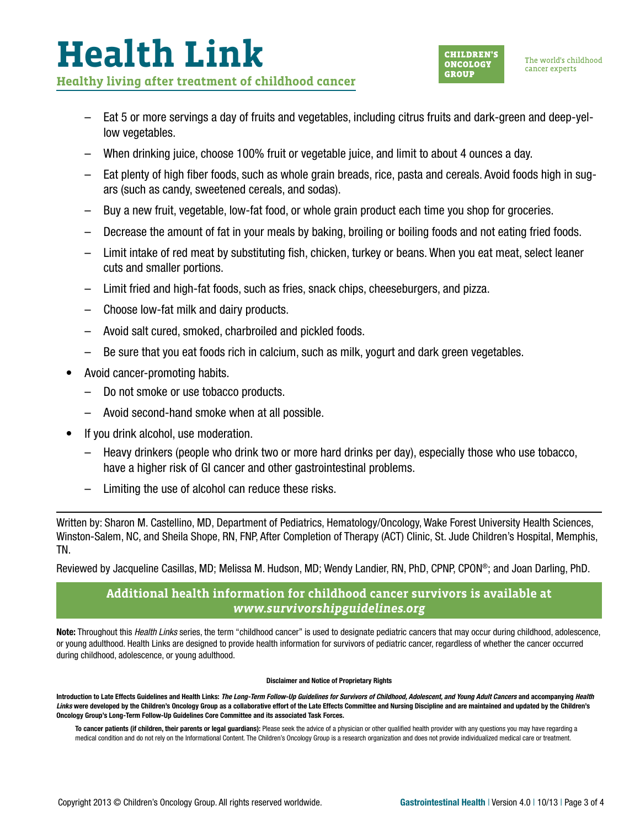### **Health Link Healthy living after treatment of childhood cancer**

- Eat 5 or more servings a day of fruits and vegetables, including citrus fruits and dark-green and deep-yellow vegetables.
- When drinking juice, choose 100% fruit or vegetable juice, and limit to about 4 ounces a day.
- Eat plenty of high fiber foods, such as whole grain breads, rice, pasta and cereals. Avoid foods high in sugars (such as candy, sweetened cereals, and sodas).
- Buy a new fruit, vegetable, low-fat food, or whole grain product each time you shop for groceries.
- Decrease the amount of fat in your meals by baking, broiling or boiling foods and not eating fried foods.
- Limit intake of red meat by substituting fish, chicken, turkey or beans. When you eat meat, select leaner cuts and smaller portions.
- Limit fried and high-fat foods, such as fries, snack chips, cheeseburgers, and pizza.
- Choose low-fat milk and dairy products.
- Avoid salt cured, smoked, charbroiled and pickled foods.
- Be sure that you eat foods rich in calcium, such as milk, yogurt and dark green vegetables.
- Avoid cancer-promoting habits.
	- Do not smoke or use tobacco products.
	- Avoid second-hand smoke when at all possible.
- If you drink alcohol, use moderation.
	- Heavy drinkers (people who drink two or more hard drinks per day), especially those who use tobacco, have a higher risk of GI cancer and other gastrointestinal problems.
	- Limiting the use of alcohol can reduce these risks.

Written by: Sharon M. Castellino, MD, Department of Pediatrics, Hematology/Oncology, Wake Forest University Health Sciences, Winston-Salem, NC, and Sheila Shope, RN, FNP, After Completion of Therapy (ACT) Clinic, St. Jude Children's Hospital, Memphis, TN.

Reviewed by Jacqueline Casillas, MD; Melissa M. Hudson, MD; Wendy Landier, RN, PhD, CPNP, CPON®; and Joan Darling, PhD.

### **Additional health information for childhood cancer survivors is available at**  *[www.survivorshipguidelines.org](http://www.survivorshipguidelines.org)*

Note: Throughout this *Health Links* series, the term "childhood cancer" is used to designate pediatric cancers that may occur during childhood, adolescence, or young adulthood. Health Links are designed to provide health information for survivors of pediatric cancer, regardless of whether the cancer occurred during childhood, adolescence, or young adulthood.

#### Disclaimer and Notice of Proprietary Rights

Introduction to Late Effects Guidelines and Health Links: *The Long-Term Follow-Up Guidelines for Survivors of Childhood, Adolescent, and Young Adult Cancers* and accompanying *Health*  Links were developed by the Children's Oncology Group as a collaborative effort of the Late Effects Committee and Nursing Discipline and are maintained and updated by the Children's Oncology Group's Long-Term Follow-Up Guidelines Core Committee and its associated Task Forces.

To cancer patients (if children, their parents or legal guardians): Please seek the advice of a physician or other qualified health provider with any questions you may have regarding a medical condition and do not rely on the Informational Content. The Children's Oncology Group is a research organization and does not provide individualized medical care or treatment.